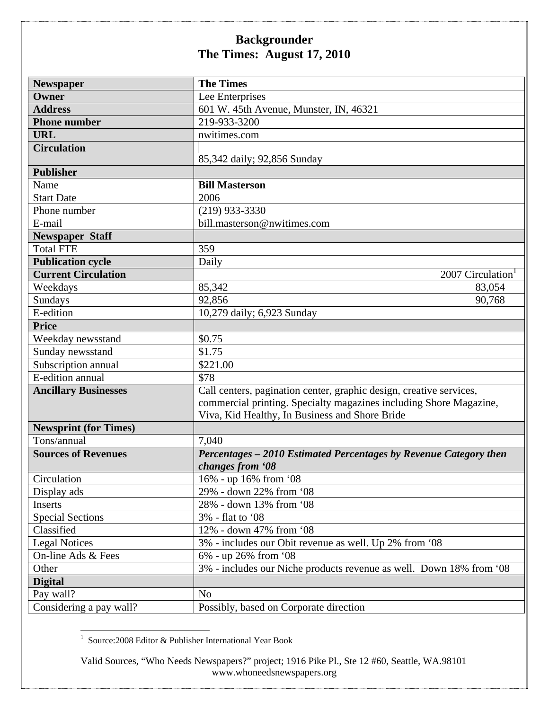| <b>Newspaper</b>             | <b>The Times</b>                                                    |
|------------------------------|---------------------------------------------------------------------|
| Owner                        | Lee Enterprises                                                     |
| <b>Address</b>               | 601 W. 45th Avenue, Munster, IN, 46321                              |
| <b>Phone number</b>          | 219-933-3200                                                        |
| <b>URL</b>                   | nwitimes.com                                                        |
| <b>Circulation</b>           |                                                                     |
|                              | 85,342 daily; 92,856 Sunday                                         |
| <b>Publisher</b>             |                                                                     |
| Name                         | <b>Bill Masterson</b>                                               |
| <b>Start Date</b>            | 2006                                                                |
| Phone number                 | $(219)$ 933-3330                                                    |
| E-mail                       | bill.masterson@nwitimes.com                                         |
| <b>Newspaper Staff</b>       |                                                                     |
| <b>Total FTE</b>             | 359                                                                 |
| <b>Publication cycle</b>     | Daily                                                               |
| <b>Current Circulation</b>   | 2007 Circulation <sup>1</sup>                                       |
| Weekdays                     | 85,342<br>83,054                                                    |
| Sundays                      | 92,856<br>90,768                                                    |
| E-edition                    | 10,279 daily; 6,923 Sunday                                          |
| <b>Price</b>                 |                                                                     |
| Weekday newsstand            | \$0.75                                                              |
| Sunday newsstand             | \$1.75                                                              |
| Subscription annual          | \$221.00                                                            |
| E-edition annual             | \$78                                                                |
| <b>Ancillary Businesses</b>  | Call centers, pagination center, graphic design, creative services, |
|                              | commercial printing. Specialty magazines including Shore Magazine,  |
|                              | Viva, Kid Healthy, In Business and Shore Bride                      |
| <b>Newsprint (for Times)</b> |                                                                     |
| Tons/annual                  | 7,040                                                               |
| <b>Sources of Revenues</b>   | Percentages - 2010 Estimated Percentages by Revenue Category then   |
|                              | changes from '08                                                    |
| Circulation                  | 16% - up 16% from '08                                               |
| Display ads                  | 29% - down 22% from '08                                             |
| Inserts                      | 28% - down 13% from '08                                             |
| <b>Special Sections</b>      | 3% - flat to '08                                                    |
| Classified                   | 12% - down 47% from '08                                             |
| <b>Legal Notices</b>         | 3% - includes our Obit revenue as well. Up 2% from '08              |
| On-line Ads & Fees           | 6% - up 26% from '08                                                |
| Other                        | 3% - includes our Niche products revenue as well. Down 18% from '08 |
| <b>Digital</b>               |                                                                     |
| Pay wall?                    | N <sub>o</sub>                                                      |
| Considering a pay wall?      | Possibly, based on Corporate direction                              |

1 Source:2008 Editor & Publisher International Year Book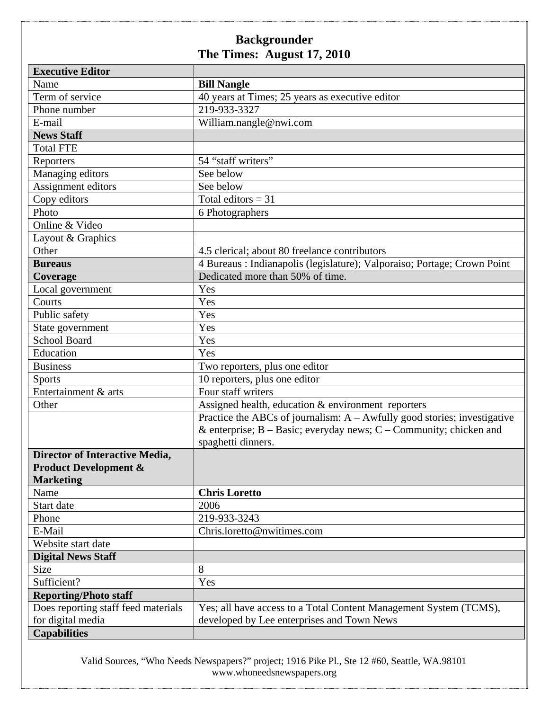| <b>Executive Editor</b>               |                                                                             |
|---------------------------------------|-----------------------------------------------------------------------------|
| Name                                  | <b>Bill Nangle</b>                                                          |
| Term of service                       | 40 years at Times; 25 years as executive editor                             |
| Phone number                          | 219-933-3327                                                                |
| E-mail                                | William.nangle@nwi.com                                                      |
| <b>News Staff</b>                     |                                                                             |
| <b>Total FTE</b>                      |                                                                             |
| Reporters                             | 54 "staff writers"                                                          |
| Managing editors                      | See below                                                                   |
| Assignment editors                    | See below                                                                   |
| Copy editors                          | Total editors = $31$                                                        |
| Photo                                 | 6 Photographers                                                             |
| Online & Video                        |                                                                             |
| Layout & Graphics                     |                                                                             |
| Other                                 | 4.5 clerical; about 80 freelance contributors                               |
| <b>Bureaus</b>                        | 4 Bureaus: Indianapolis (legislature); Valporaiso; Portage; Crown Point     |
| Coverage                              | Dedicated more than 50% of time.                                            |
| Local government                      | Yes                                                                         |
| Courts                                | Yes                                                                         |
| Public safety                         | Yes                                                                         |
| State government                      | Yes                                                                         |
| <b>School Board</b>                   | Yes                                                                         |
| Education                             | Yes                                                                         |
| <b>Business</b>                       | Two reporters, plus one editor                                              |
| <b>Sports</b>                         | 10 reporters, plus one editor                                               |
| Entertainment & arts                  | Four staff writers                                                          |
| Other                                 | Assigned health, education & environment reporters                          |
|                                       | Practice the ABCs of journalism: $A - A$ wfully good stories; investigative |
|                                       | & enterprise; $B - Basic$ ; everyday news; $C - Community$ ; chicken and    |
|                                       | spaghetti dinners.                                                          |
| <b>Director of Interactive Media,</b> |                                                                             |
| <b>Product Development &amp;</b>      |                                                                             |
| <b>Marketing</b>                      |                                                                             |
| Name                                  | <b>Chris Loretto</b>                                                        |
| Start date                            | 2006                                                                        |
| Phone                                 | 219-933-3243                                                                |
| E-Mail                                | Chris.loretto@nwitimes.com                                                  |
| Website start date                    |                                                                             |
| <b>Digital News Staff</b>             |                                                                             |
| Size                                  | 8                                                                           |
| Sufficient?                           | Yes                                                                         |
| <b>Reporting/Photo staff</b>          |                                                                             |
| Does reporting staff feed materials   | Yes; all have access to a Total Content Management System (TCMS),           |
| for digital media                     | developed by Lee enterprises and Town News                                  |
| <b>Capabilities</b>                   |                                                                             |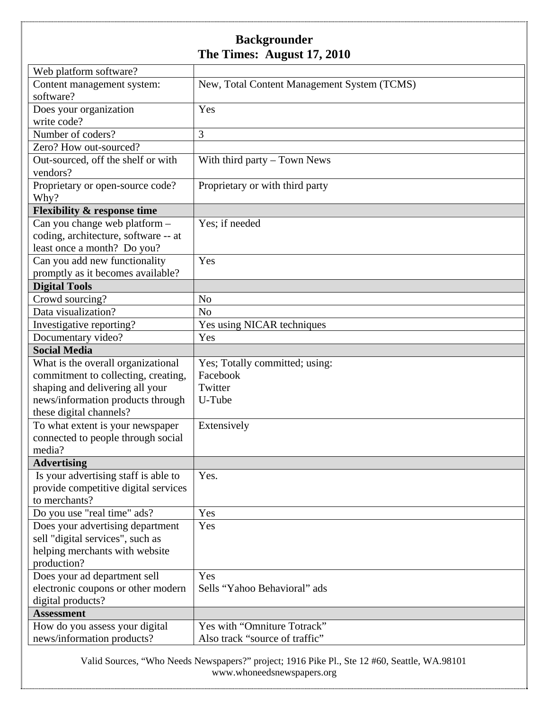| Web platform software?                 |                                             |
|----------------------------------------|---------------------------------------------|
| Content management system:             | New, Total Content Management System (TCMS) |
| software?                              |                                             |
| Does your organization                 | Yes                                         |
| write code?                            |                                             |
| Number of coders?                      | 3                                           |
| Zero? How out-sourced?                 |                                             |
| Out-sourced, off the shelf or with     | With third party $-$ Town News              |
| vendors?                               |                                             |
| Proprietary or open-source code?       | Proprietary or with third party             |
| Why?                                   |                                             |
| <b>Flexibility &amp; response time</b> |                                             |
| Can you change web platform -          | Yes; if needed                              |
| coding, architecture, software -- at   |                                             |
| least once a month? Do you?            |                                             |
| Can you add new functionality          | Yes                                         |
| promptly as it becomes available?      |                                             |
| <b>Digital Tools</b>                   |                                             |
| Crowd sourcing?                        | N <sub>o</sub>                              |
| Data visualization?                    | N <sub>o</sub>                              |
| Investigative reporting?               | Yes using NICAR techniques                  |
| Documentary video?                     | Yes                                         |
| <b>Social Media</b>                    |                                             |
| What is the overall organizational     | Yes; Totally committed; using:              |
| commitment to collecting, creating,    | Facebook                                    |
| shaping and delivering all your        | Twitter                                     |
| news/information products through      | U-Tube                                      |
| these digital channels?                |                                             |
| To what extent is your newspaper       | Extensively                                 |
| connected to people through social     |                                             |
| media?                                 |                                             |
| <b>Advertising</b>                     |                                             |
| Is your advertising staff is able to   | Yes.                                        |
| provide competitive digital services   |                                             |
| to merchants?                          |                                             |
| Do you use "real time" ads?            | Yes                                         |
| Does your advertising department       | Yes                                         |
| sell "digital services", such as       |                                             |
| helping merchants with website         |                                             |
| production?                            |                                             |
| Does your ad department sell           | Yes                                         |
| electronic coupons or other modern     | Sells "Yahoo Behavioral" ads                |
| digital products?                      |                                             |
| <b>Assessment</b>                      |                                             |
| How do you assess your digital         | Yes with "Omniture Totrack"                 |
| news/information products?             | Also track "source of traffic"              |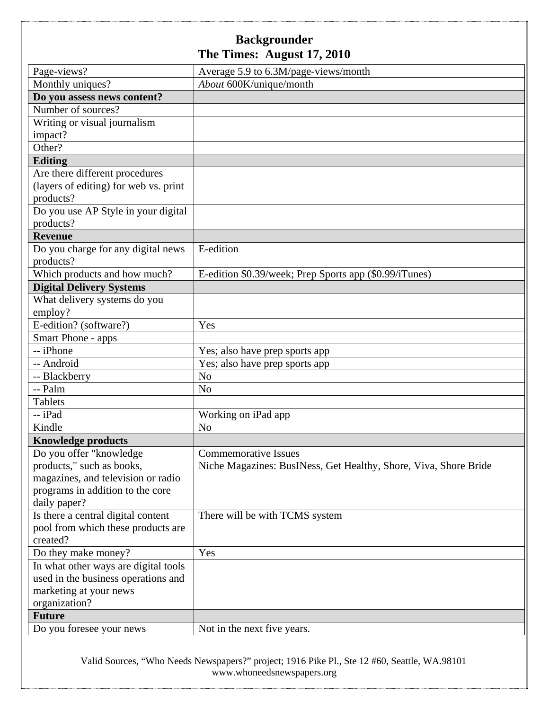| Page-views?                           | Average 5.9 to 6.3M/page-views/month                             |
|---------------------------------------|------------------------------------------------------------------|
| Monthly uniques?                      | About 600K/unique/month                                          |
| Do you assess news content?           |                                                                  |
| Number of sources?                    |                                                                  |
| Writing or visual journalism          |                                                                  |
|                                       |                                                                  |
| impact?<br>Other?                     |                                                                  |
|                                       |                                                                  |
| <b>Editing</b>                        |                                                                  |
| Are there different procedures        |                                                                  |
| (layers of editing) for web vs. print |                                                                  |
| products?                             |                                                                  |
| Do you use AP Style in your digital   |                                                                  |
| products?                             |                                                                  |
| <b>Revenue</b>                        |                                                                  |
| Do you charge for any digital news    | E-edition                                                        |
| products?                             |                                                                  |
| Which products and how much?          | E-edition \$0.39/week; Prep Sports app (\$0.99/iTunes)           |
| <b>Digital Delivery Systems</b>       |                                                                  |
| What delivery systems do you          |                                                                  |
| employ?                               |                                                                  |
| E-edition? (software?)                | Yes                                                              |
| Smart Phone - apps                    |                                                                  |
| -- iPhone                             | Yes; also have prep sports app                                   |
| -- Android                            | Yes; also have prep sports app                                   |
| -- Blackberry                         | N <sub>o</sub>                                                   |
| -- Palm                               | N <sub>o</sub>                                                   |
| <b>Tablets</b>                        |                                                                  |
| -- iPad                               | Working on iPad app                                              |
| Kindle                                | N <sub>o</sub>                                                   |
| <b>Knowledge products</b>             |                                                                  |
| Do you offer "knowledge               | <b>Commemorative Issues</b>                                      |
| products," such as books,             | Niche Magazines: BusINess, Get Healthy, Shore, Viva, Shore Bride |
| magazines, and television or radio    |                                                                  |
| programs in addition to the core      |                                                                  |
| daily paper?                          |                                                                  |
| Is there a central digital content    | There will be with TCMS system                                   |
| pool from which these products are    |                                                                  |
| created?                              |                                                                  |
| Do they make money?                   | Yes                                                              |
| In what other ways are digital tools  |                                                                  |
| used in the business operations and   |                                                                  |
| marketing at your news                |                                                                  |
| organization?                         |                                                                  |
| <b>Future</b>                         |                                                                  |
| Do you foresee your news              | Not in the next five years.                                      |